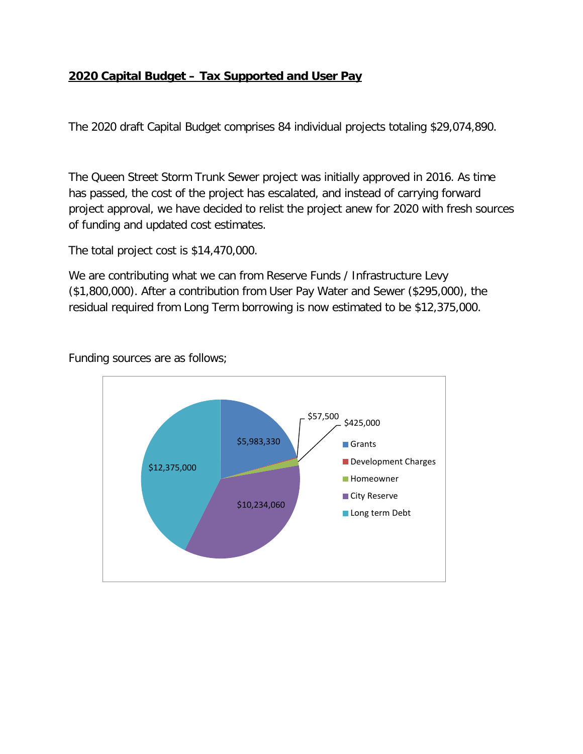## **2020 Capital Budget – Tax Supported and User Pay**

The 2020 draft Capital Budget comprises 84 individual projects totaling \$29,074,890.

The Queen Street Storm Trunk Sewer project was initially approved in 2016. As time has passed, the cost of the project has escalated, and instead of carrying forward project approval, we have decided to relist the project anew for 2020 with fresh sources of funding and updated cost estimates.

The total project cost is \$14,470,000.

We are contributing what we can from Reserve Funds / Infrastructure Levy (\$1,800,000). After a contribution from User Pay Water and Sewer (\$295,000), the residual required from Long Term borrowing is now estimated to be \$12,375,000.

Funding sources are as follows;